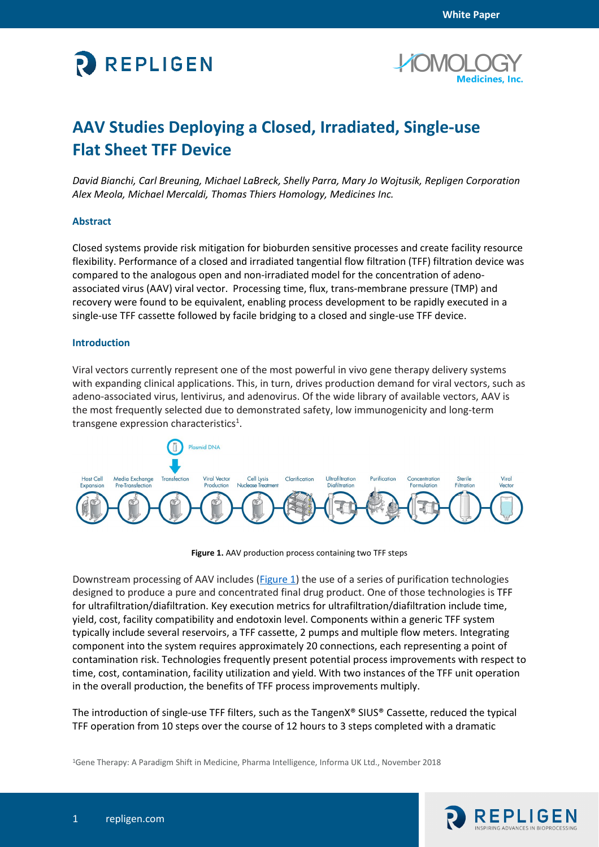



# **AAV Studies Deploying a Closed, Irradiated, Single-use Flat Sheet TFF Device**

*David Bianchi, Carl Breuning, Michael LaBreck, Shelly Parra, Mary Jo Wojtusik, Repligen Corporation Alex Meola, Michael Mercaldi, Thomas Thiers Homology, Medicines Inc.*

## **Abstract**

Closed systems provide risk mitigation for bioburden sensitive processes and create facility resource flexibility. Performance of a closed and irradiated tangential flow filtration (TFF) filtration device was compared to the analogous open and non-irradiated model for the concentration of adenoassociated virus (AAV) viral vector. Processing time, flux, trans-membrane pressure (TMP) and recovery were found to be equivalent, enabling process development to be rapidly executed in a single-use TFF cassette followed by facile bridging to a closed and single-use TFF device.

#### **Introduction**

Viral vectors currently represent one of the most powerful in vivo gene therapy delivery systems with expanding clinical applications. This, in turn, drives production demand for viral vectors, such as adeno-associated virus, lentivirus, and adenovirus. Of the wide library of available vectors, AAV is the most frequently selected due to demonstrated safety, low immunogenicity and long-term transgene expression characteristics<sup>1</sup>.



**Figure 1.** AAV production process containing two TFF steps

<span id="page-0-0"></span>Downstream processing of AAV includes (*Figure 1*) the use of a series of purification technologies designed to produce a pure and concentrated final drug product. One of those technologies is TFF for ultrafiltration/diafiltration. Key execution metrics for ultrafiltration/diafiltration include time, yield, cost, facility compatibility and endotoxin level. Components within a generic TFF system typically include several reservoirs, a TFF cassette, 2 pumps and multiple flow meters. Integrating component into the system requires approximately 20 connections, each representing a point of contamination risk. Technologies frequently present potential process improvements with respect to time, cost, contamination, facility utilization and yield. With two instances of the TFF unit operation in the overall production, the benefits of TFF process improvements multiply.

The introduction of single-use TFF filters, such as the TangenX® SIUS® Cassette, reduced the typical TFF operation from 10 steps over the course of 12 hours to 3 steps completed with a dramatic

1Gene Therapy: A Paradigm Shift in Medicine, Pharma Intelligence, Informa UK Ltd., November 2018

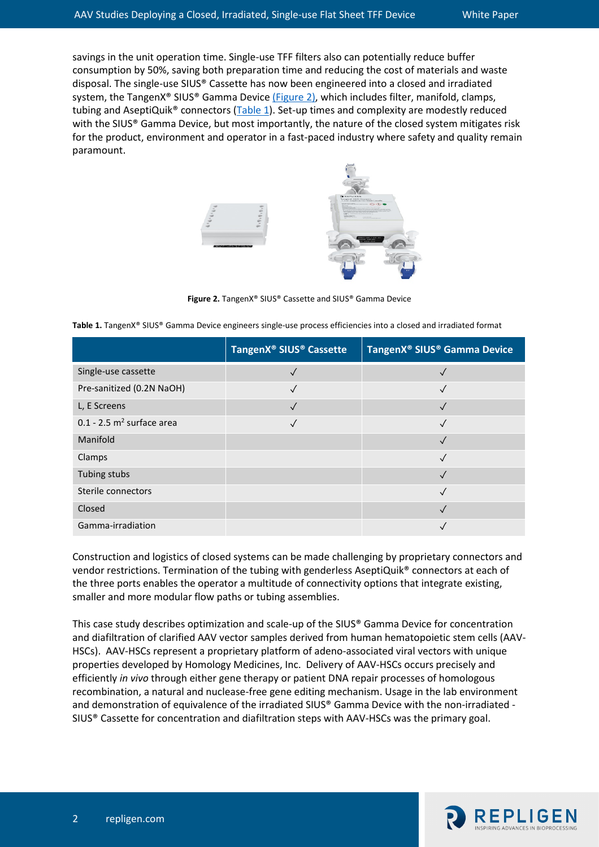savings in the unit operation time. Single-use TFF filters also can potentially reduce buffer consumption by 50%, saving both preparation time and reducing the cost of materials and waste disposal. The single-use SIUS® Cassette has now been engineered into a closed and irradiated system, the TangenX® SIUS® Gamma Device [\(Figure 2\),](#page-1-0) which includes filter, manifold, clamps, tubing and AseptiQuik<sup>®</sup> connectors ( $Table 1$ ). Set-up times and complexity are modestly reduced with the SIUS® Gamma Device, but most importantly, the nature of the closed system mitigates risk for the product, environment and operator in a fast-paced industry where safety and quality remain paramount.

<span id="page-1-1"></span>

**Figure 2.** TangenX® SIUS® Cassette and SIUS® Gamma Device

<span id="page-1-0"></span>

|  |  | Table 1. TangenX® SIUS® Gamma Device engineers single-use process efficiencies into a closed and irradiated format |  |
|--|--|--------------------------------------------------------------------------------------------------------------------|--|
|--|--|--------------------------------------------------------------------------------------------------------------------|--|

|                                         | TangenX <sup>®</sup> SIUS <sup>®</sup> Cassette | TangenX <sup>®</sup> SIUS <sup>®</sup> Gamma Device |
|-----------------------------------------|-------------------------------------------------|-----------------------------------------------------|
| Single-use cassette                     |                                                 |                                                     |
| Pre-sanitized (0.2N NaOH)               |                                                 |                                                     |
| L, E Screens                            | $\checkmark$                                    |                                                     |
| $0.1 - 2.5$ m <sup>2</sup> surface area |                                                 |                                                     |
| Manifold                                |                                                 |                                                     |
| Clamps                                  |                                                 |                                                     |
| Tubing stubs                            |                                                 |                                                     |
| Sterile connectors                      |                                                 |                                                     |
| Closed                                  |                                                 |                                                     |
| Gamma-irradiation                       |                                                 |                                                     |

Construction and logistics of closed systems can be made challenging by proprietary connectors and vendor restrictions. Termination of the tubing with genderless AseptiQuik® connectors at each of the three ports enables the operator a multitude of connectivity options that integrate existing, smaller and more modular flow paths or tubing assemblies.

This case study describes optimization and scale-up of the SIUS® Gamma Device for concentration and diafiltration of clarified AAV vector samples derived from human hematopoietic stem cells (AAV-HSCs). AAV-HSCs represent a proprietary platform of adeno-associated viral vectors with unique properties developed by Homology Medicines, Inc. Delivery of AAV-HSCs occurs precisely and efficiently *in vivo* through either gene therapy or patient DNA repair processes of homologous recombination, a natural and nuclease-free gene editing mechanism. Usage in the lab environment and demonstration of equivalence of the irradiated SIUS® Gamma Device with the non-irradiated - SIUS® Cassette for concentration and diafiltration steps with AAV-HSCs was the primary goal.

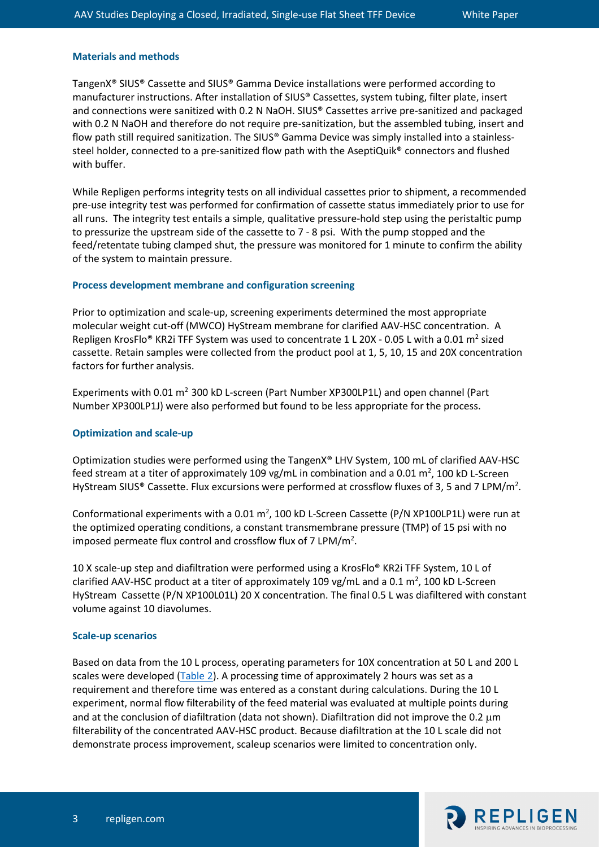#### **Materials and methods**

TangenX® SIUS® Cassette and SIUS® Gamma Device installations were performed according to manufacturer instructions. After installation of SIUS® Cassettes, system tubing, filter plate, insert and connections were sanitized with 0.2 N NaOH. SIUS® Cassettes arrive pre-sanitized and packaged with 0.2 N NaOH and therefore do not require pre-sanitization, but the assembled tubing, insert and flow path still required sanitization. The SIUS® Gamma Device was simply installed into a stainlesssteel holder, connected to a pre-sanitized flow path with the AseptiQuik® connectors and flushed with buffer.

While Repligen performs integrity tests on all individual cassettes prior to shipment, a recommended pre-use integrity test was performed for confirmation of cassette status immediately prior to use for all runs. The integrity test entails a simple, qualitative pressure-hold step using the peristaltic pump to pressurize the upstream side of the cassette to 7 - 8 psi. With the pump stopped and the feed/retentate tubing clamped shut, the pressure was monitored for 1 minute to confirm the ability of the system to maintain pressure.

#### **Process development membrane and configuration screening**

Prior to optimization and scale-up, screening experiments determined the most appropriate molecular weight cut-off (MWCO) HyStream membrane for clarified AAV-HSC concentration. A Repligen KrosFlo® KR2i TFF System was used to concentrate 1 L 20X - 0.05 L with a 0.01  $m^2$  sized cassette. Retain samples were collected from the product pool at 1, 5, 10, 15 and 20X concentration factors for further analysis.

Experiments with 0.01  $m^2$  300 kD L-screen (Part Number XP300LP1L) and open channel (Part Number XP300LP1J) were also performed but found to be less appropriate for the process.

#### **Optimization and scale-up**

Optimization studies were performed using the TangenX® LHV System, 100 mL of clarified AAV-HSC feed stream at a titer of approximately 109 vg/mL in combination and a 0.01 m<sup>2</sup>, 100 kD L-Screen HyStream SIUS® Cassette. Flux excursions were performed at crossflow fluxes of 3, 5 and 7 LPM/m<sup>2</sup>.

Conformational experiments with a 0.01 m<sup>2</sup>, 100 kD L-Screen Cassette (P/N XP100LP1L) were run at the optimized operating conditions, a constant transmembrane pressure (TMP) of 15 psi with no imposed permeate flux control and crossflow flux of  $7 \text{ LPM/m}^2$ .

10 X scale-up step and diafiltration were performed using a KrosFlo® KR2i TFF System, 10 L of clarified AAV-HSC product at a titer of approximately 109 vg/mL and a 0.1  $\text{m}^2$ , 100 kD L-Screen HyStream Cassette (P/N XP100L01L) 20 X concentration. The final 0.5 L was diafiltered with constant volume against 10 diavolumes.

#### **Scale-up scenarios**

Based on data from the 10 L process, operating parameters for 10X concentration at 50 L and 200 L scales were developed [\(Table 2\)](#page-3-0). A processing time of approximately 2 hours was set as a requirement and therefore time was entered as a constant during calculations. During the 10 L experiment, normal flow filterability of the feed material was evaluated at multiple points during and at the conclusion of diafiltration (data not shown). Diafiltration did not improve the 0.2  $\mu$ m filterability of the concentrated AAV-HSC product. Because diafiltration at the 10 L scale did not demonstrate process improvement, scaleup scenarios were limited to concentration only.

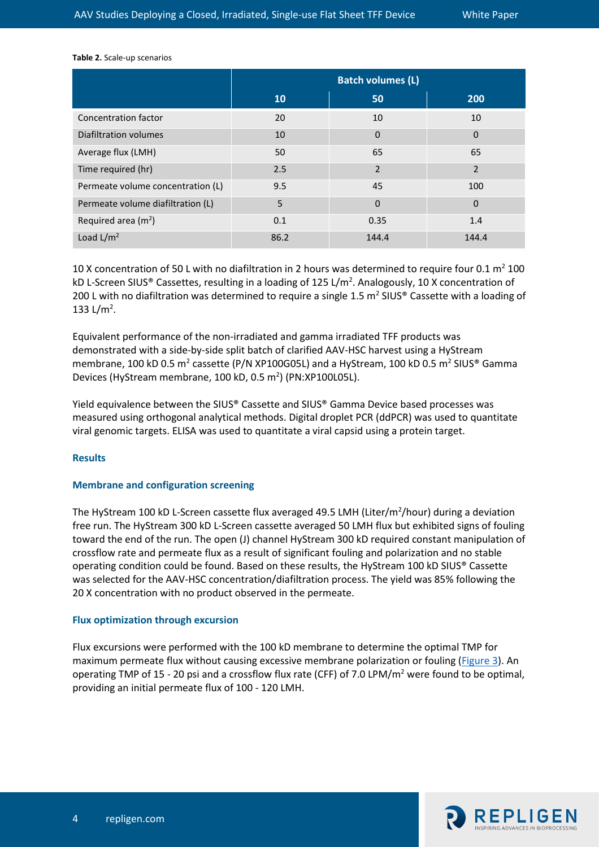<span id="page-3-0"></span>**Table 2.** Scale-up scenarios

|                                   | <b>Batch volumes (L)</b> |                |                |
|-----------------------------------|--------------------------|----------------|----------------|
|                                   | <b>10</b>                | 50             | 200            |
| Concentration factor              | 20                       | 10             | 10             |
| Diafiltration volumes             | 10                       | $\overline{0}$ | $\mathbf 0$    |
| Average flux (LMH)                | 50                       | 65             | 65             |
| Time required (hr)                | 2.5                      | $\overline{2}$ | $\overline{2}$ |
| Permeate volume concentration (L) | 9.5                      | 45             | 100            |
| Permeate volume diafiltration (L) | 5                        | $\mathbf 0$    | $\mathbf 0$    |
| Required area $(m2)$              | 0.1                      | 0.35           | 1.4            |
| Load $L/m^2$                      | 86.2                     | 144.4          | 144.4          |

10 X concentration of 50 L with no diafiltration in 2 hours was determined to require four 0.1  $m^2$  100 kD L-Screen SIUS® Cassettes, resulting in a loading of 125 L/m<sup>2</sup>. Analogously, 10 X concentration of 200 L with no diafiltration was determined to require a single 1.5  $m^2$  SIUS® Cassette with a loading of 133 L/m<sup>2</sup>.

Equivalent performance of the non-irradiated and gamma irradiated TFF products was demonstrated with a side-by-side split batch of clarified AAV-HSC harvest using a HyStream membrane, 100 kD 0.5 m<sup>2</sup> cassette (P/N XP100G05L) and a HyStream, 100 kD 0.5 m<sup>2</sup> SIUS<sup>®</sup> Gamma Devices (HyStream membrane, 100 kD, 0.5 m<sup>2</sup>) (PN:XP100L05L).

Yield equivalence between the SIUS® Cassette and SIUS® Gamma Device based processes was measured using orthogonal analytical methods. Digital droplet PCR (ddPCR) was used to quantitate viral genomic targets. ELISA was used to quantitate a viral capsid using a protein target.

## **Results**

#### **Membrane and configuration screening**

The HyStream 100 kD L-Screen cassette flux averaged 49.5 LMH (Liter/m<sup>2</sup>/hour) during a deviation free run. The HyStream 300 kD L-Screen cassette averaged 50 LMH flux but exhibited signs of fouling toward the end of the run. The open (J) channel HyStream 300 kD required constant manipulation of crossflow rate and permeate flux as a result of significant fouling and polarization and no stable operating condition could be found. Based on these results, the HyStream 100 kD SIUS® Cassette was selected for the AAV-HSC concentration/diafiltration process. The yield was 85% following the 20 X concentration with no product observed in the permeate.

## **Flux optimization through excursion**

Flux excursions were performed with the 100 kD membrane to determine the optimal TMP for maximum permeate flux without causing excessive membrane polarization or fouling [\(Figure 3\)](#page-4-0). An operating TMP of 15 - 20 psi and a crossflow flux rate (CFF) of 7.0 LPM/ $m<sup>2</sup>$  were found to be optimal, providing an initial permeate flux of 100 - 120 LMH.

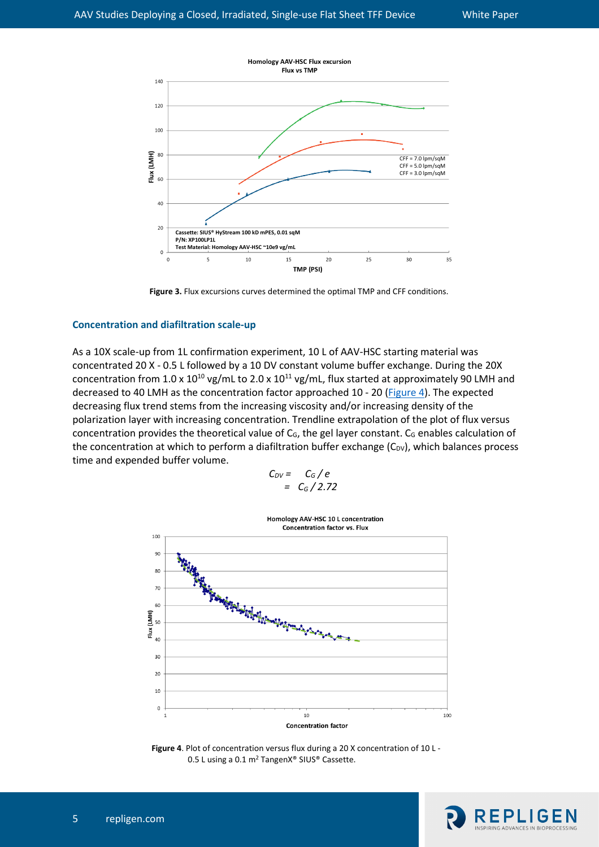

<span id="page-4-0"></span>**Figure 3.** Flux excursions curves determined the optimal TMP and CFF conditions.

## **Concentration and diafiltration scale-up**

As a 10X scale-up from 1L confirmation experiment, 10 L of AAV-HSC starting material was concentrated 20 X - 0.5 L followed by a 10 DV constant volume buffer exchange. During the 20X concentration from 1.0 x  $10^{10}$  vg/mL to 2.0 x  $10^{11}$  vg/mL, flux started at approximately 90 LMH and decreased to 40 LMH as the concentration factor approached 10 - 20 [\(Figure 4\)](#page-4-1). The expected decreasing flux trend stems from the increasing viscosity and/or increasing density of the polarization layer with increasing concentration. Trendline extrapolation of the plot of flux versus concentration provides the theoretical value of  $C_G$ , the gel layer constant.  $C_G$  enables calculation of the concentration at which to perform a diafiltration buffer exchange  $(C_{DV})$ , which balances process time and expended buffer volume.

$$
C_{DV} = C_G/e
$$
  
=  $C_G/2.72$ 



<span id="page-4-1"></span>**Figure 4**. Plot of concentration versus flux during a 20 X concentration of 10 L - 0.5 L using a 0.1 m<sup>2</sup> TangenX® SIUS® Cassette.

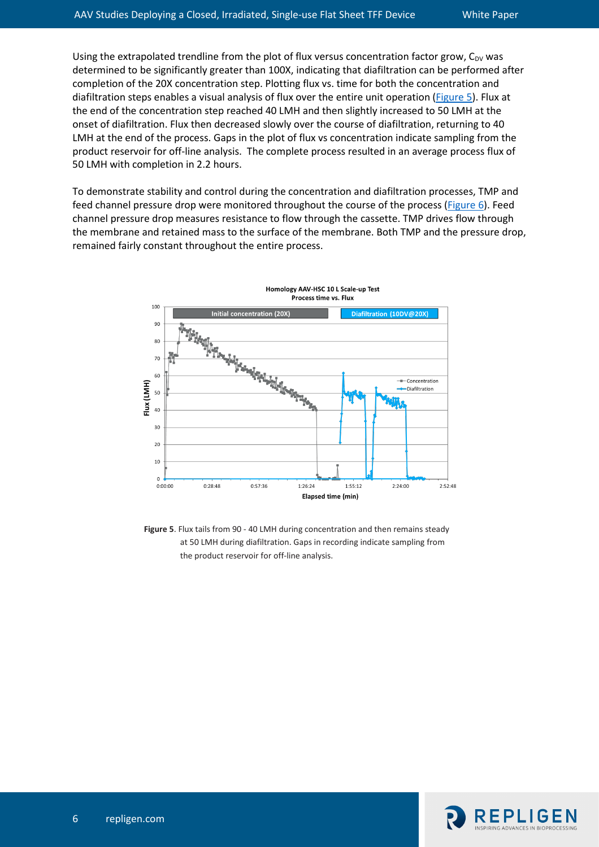Using the extrapolated trendline from the plot of flux versus concentration factor grow,  $C_{DV}$  was determined to be significantly greater than 100X, indicating that diafiltration can be performed after completion of the 20X concentration step. Plotting flux vs. time for both the concentration and diafiltration steps enables a visual analysis of flux over the entire unit operation [\(Figure 5\)](#page-5-0). Flux at the end of the concentration step reached 40 LMH and then slightly increased to 50 LMH at the onset of diafiltration. Flux then decreased slowly over the course of diafiltration, returning to 40 LMH at the end of the process. Gaps in the plot of flux vs concentration indicate sampling from the product reservoir for off-line analysis. The complete process resulted in an average process flux of 50 LMH with completion in 2.2 hours.

To demonstrate stability and control during the concentration and diafiltration processes, TMP and feed channel pressure drop were monitored throughout the course of the process [\(Figure 6\)](#page-6-0). Feed channel pressure drop measures resistance to flow through the cassette. TMP drives flow through the membrane and retained mass to the surface of the membrane. Both TMP and the pressure drop, remained fairly constant throughout the entire process.



<span id="page-5-0"></span>**Figure 5**. Flux tails from 90 - 40 LMH during concentration and then remains steady at 50 LMH during diafiltration. Gaps in recording indicate sampling from the product reservoir for off-line analysis.

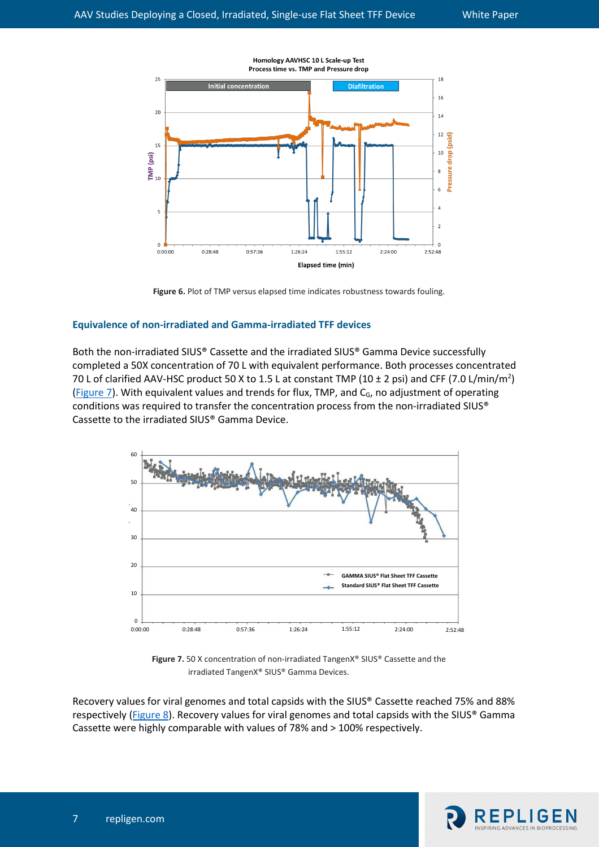

<span id="page-6-0"></span>**Figure 6.** Plot of TMP versus elapsed time indicates robustness towards fouling.

## **Equivalence of non-irradiated and Gamma-irradiated TFF devices**

Both the non-irradiated SIUS® Cassette and the irradiated SIUS® Gamma Device successfully completed a 50X concentration of 70 L with equivalent performance. Both processes concentrated 70 L of clarified AAV-HSC product 50 X to 1.5 L at constant TMP (10  $\pm$  2 psi) and CFF (7.0 L/min/m<sup>2</sup>) [\(Figure 7\)](#page-6-1). With equivalent values and trends for flux, TMP, and C<sub>G</sub>, no adjustment of operating conditions was required to transfer the concentration process from the non-irradiated SIUS® Cassette to the irradiated SIUS® Gamma Device.



<span id="page-6-1"></span>**Figure 7.** 50 X concentration of non-irradiated TangenX® SIUS® Cassette and the irradiated TangenX® SIUS® Gamma Devices.

Recovery values for viral genomes and total capsids with the SIUS® Cassette reached 75% and 88% respectively [\(Figure 8\)](#page-7-0). Recovery values for viral genomes and total capsids with the SIUS® Gamma Cassette were highly comparable with values of 78% and > 100% respectively.

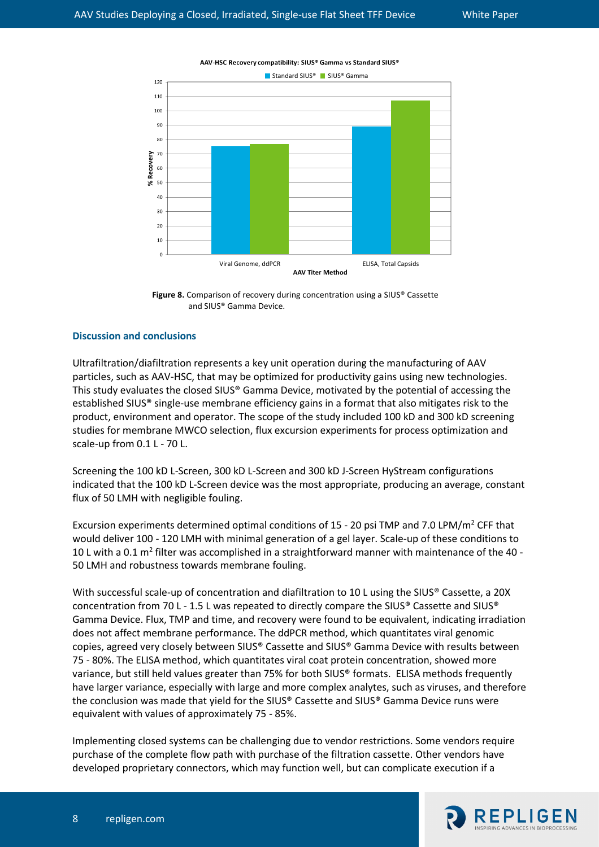

AAV-HSC Recovery compatibility: SIUS® Gamma vs Standard SIUS®

<span id="page-7-0"></span>**Figure 8.** Comparison of recovery during concentration using a SIUS® Cassette and SIUS® Gamma Device.

## **Discussion and conclusions**

Ultrafiltration/diafiltration represents a key unit operation during the manufacturing of AAV particles, such as AAV-HSC, that may be optimized for productivity gains using new technologies. This study evaluates the closed SIUS® Gamma Device, motivated by the potential of accessing the established SIUS® single-use membrane efficiency gains in a format that also mitigates risk to the product, environment and operator. The scope of the study included 100 kD and 300 kD screening studies for membrane MWCO selection, flux excursion experiments for process optimization and scale-up from 0.1 L - 70 L.

Screening the 100 kD L-Screen, 300 kD L-Screen and 300 kD J-Screen HyStream configurations indicated that the 100 kD L-Screen device was the most appropriate, producing an average, constant flux of 50 LMH with negligible fouling.

Excursion experiments determined optimal conditions of 15 - 20 psi TMP and 7.0 LPM/m<sup>2</sup> CFF that would deliver 100 - 120 LMH with minimal generation of a gel layer. Scale-up of these conditions to 10 L with a 0.1  $m<sup>2</sup>$  filter was accomplished in a straightforward manner with maintenance of the 40 -50 LMH and robustness towards membrane fouling.

With successful scale-up of concentration and diafiltration to 10 L using the SIUS® Cassette, a 20X concentration from 70 L - 1.5 L was repeated to directly compare the SIUS® Cassette and SIUS® Gamma Device. Flux, TMP and time, and recovery were found to be equivalent, indicating irradiation does not affect membrane performance. The ddPCR method, which quantitates viral genomic copies, agreed very closely between SIUS® Cassette and SIUS® Gamma Device with results between 75 - 80%. The ELISA method, which quantitates viral coat protein concentration, showed more variance, but still held values greater than 75% for both SIUS® formats. ELISA methods frequently have larger variance, especially with large and more complex analytes, such as viruses, and therefore the conclusion was made that yield for the SIUS® Cassette and SIUS® Gamma Device runs were equivalent with values of approximately 75 - 85%.

Implementing closed systems can be challenging due to vendor restrictions. Some vendors require purchase of the complete flow path with purchase of the filtration cassette. Other vendors have developed proprietary connectors, which may function well, but can complicate execution if a